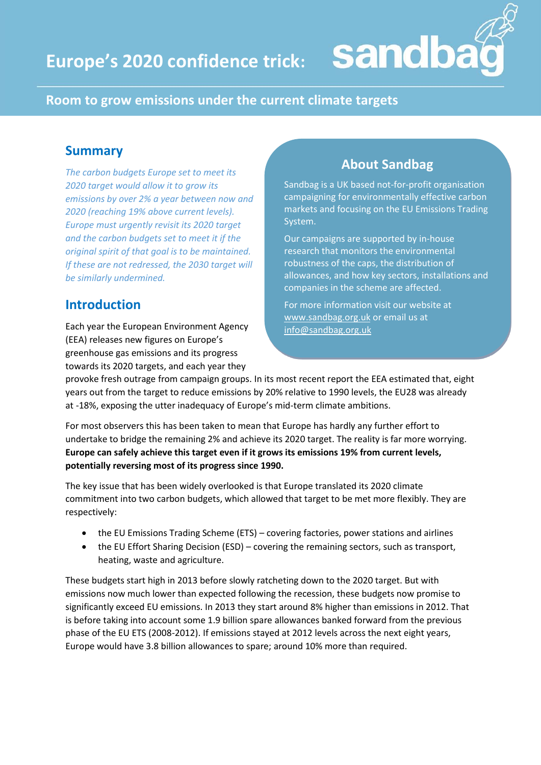## **Room to grow emissions under the current climate targets**

## **Summary**

*The carbon budgets Europe set to meet its 2020 target would allow it to grow its emissions by over 2% a year between now and 2020 (reaching 19% above current levels). Europe must urgently revisit its 2020 target and the carbon budgets set to meet it if the original spirit of that goal is to be maintained. If these are not redressed, the 2030 target will be similarly undermined.*

# **Introduction**

Each year the European Environment Agency (EEA) releases new figures on Europe's greenhouse gas emissions and its progress towards its 2020 targets, and each year they

# **About Sandbag**

sandb

Sandbag is a UK based not-for-profit organisation campaigning for environmentally effective carbon markets and focusing on the EU Emissions Trading System.

Our campaigns are supported by in-house research that monitors the environmental robustness of the caps, the distribution of allowances, and how key sectors, installations and companies in the scheme are affected.

For more information visit our website at [www.sandbag.org.uk](http://www.sandbag.org.uk/) or email us at [info@sandbag.org.uk](mailto:info@sandbag.org.uk)

provoke fresh outrage from campaign groups. In its most recent report the EEA estimated that, eight years out from the target to reduce emissions by 20% relative to 1990 levels, the EU28 was already at -18%, exposing the utter inadequacy of Europe's mid-term climate ambitions.

For most observers this has been taken to mean that Europe has hardly any further effort to undertake to bridge the remaining 2% and achieve its 2020 target. The reality is far more worrying. **Europe can safely achieve this target even if it grows its emissions 19% from current levels, potentially reversing most of its progress since 1990.**

The key issue that has been widely overlooked is that Europe translated its 2020 climate commitment into two carbon budgets, which allowed that target to be met more flexibly. They are respectively:

- the EU Emissions Trading Scheme (ETS) covering factories, power stations and airlines
- the EU Effort Sharing Decision (ESD) covering the remaining sectors, such as transport, heating, waste and agriculture.

These budgets start high in 2013 before slowly ratcheting down to the 2020 target. But with emissions now much lower than expected following the recession, these budgets now promise to significantly exceed EU emissions. In 2013 they start around 8% higher than emissions in 2012. That is before taking into account some 1.9 billion spare allowances banked forward from the previous phase of the EU ETS (2008-2012). If emissions stayed at 2012 levels across the next eight years, Europe would have 3.8 billion allowances to spare; around 10% more than required.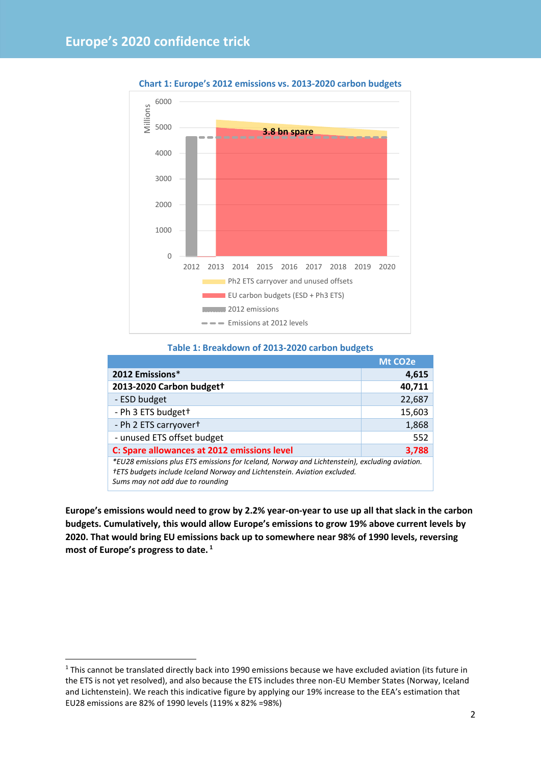

**Chart 1: Europe's 2012 emissions vs. 2013-2020 carbon budgets** 

#### **Table 1: Breakdown of 2013-2020 carbon budgets**

|                                                                                                                                                                                                               | Mt CO <sub>2</sub> e |
|---------------------------------------------------------------------------------------------------------------------------------------------------------------------------------------------------------------|----------------------|
| 2012 Emissions*                                                                                                                                                                                               | 4,615                |
| 2013-2020 Carbon budgett                                                                                                                                                                                      | 40,711               |
| - ESD budget                                                                                                                                                                                                  | 22,687               |
| - Ph 3 ETS budget+                                                                                                                                                                                            | 15,603               |
| - Ph 2 ETS carryovert                                                                                                                                                                                         | 1,868                |
| - unused ETS offset budget                                                                                                                                                                                    | 552                  |
| C: Spare allowances at 2012 emissions level                                                                                                                                                                   | 3,788                |
| *EU28 emissions plus ETS emissions for Iceland, Norway and Lichtenstein), excluding aviation.<br>†ETS budgets include Iceland Norway and Lichtenstein. Aviation excluded.<br>Sums may not add due to rounding |                      |

**Europe's emissions would need to grow by 2.2% year-on-year to use up all that slack in the carbon budgets. Cumulatively, this would allow Europe's emissions to grow 19% above current levels by 2020. That would bring EU emissions back up to somewhere near 98% of 1990 levels, reversing most of Europe's progress to date. <sup>1</sup>**

**.** 

<sup>&</sup>lt;sup>1</sup> This cannot be translated directly back into 1990 emissions because we have excluded aviation (its future in the ETS is not yet resolved), and also because the ETS includes three non-EU Member States (Norway, Iceland and Lichtenstein). We reach this indicative figure by applying our 19% increase to the EEA's estimation that EU28 emissions are 82% of 1990 levels (119% x 82% =98%)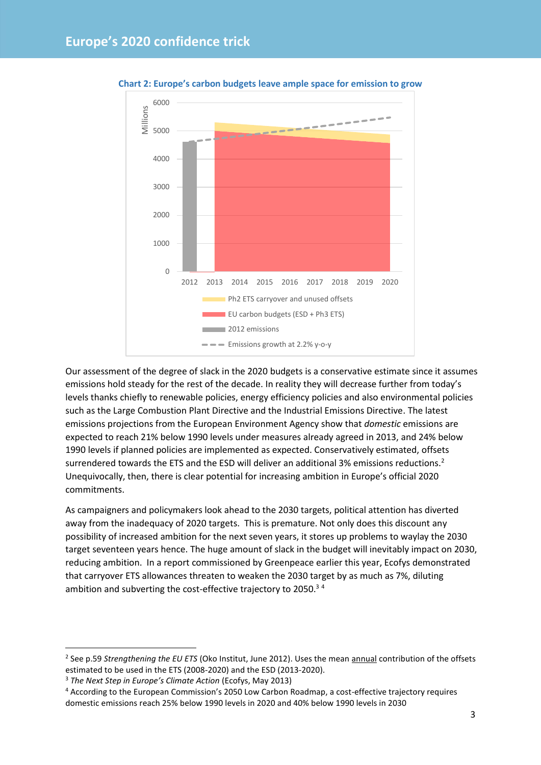

**Chart 2: Europe's carbon budgets leave ample space for emission to grow**

Our assessment of the degree of slack in the 2020 budgets is a conservative estimate since it assumes emissions hold steady for the rest of the decade. In reality they will decrease further from today's levels thanks chiefly to renewable policies, energy efficiency policies and also environmental policies such as the Large Combustion Plant Directive and the Industrial Emissions Directive. The latest emissions projections from the European Environment Agency show that *domestic* emissions are expected to reach 21% below 1990 levels under measures already agreed in 2013, and 24% below 1990 levels if planned policies are implemented as expected. Conservatively estimated, offsets surrendered towards the ETS and the ESD will deliver an additional 3% emissions reductions.<sup>2</sup> Unequivocally, then, there is clear potential for increasing ambition in Europe's official 2020 commitments.

As campaigners and policymakers look ahead to the 2030 targets, political attention has diverted away from the inadequacy of 2020 targets. This is premature. Not only does this discount any possibility of increased ambition for the next seven years, it stores up problems to waylay the 2030 target seventeen years hence. The huge amount of slack in the budget will inevitably impact on 2030, reducing ambition. In a report commissioned by Greenpeace earlier this year, Ecofys demonstrated that carryover ETS allowances threaten to weaken the 2030 target by as much as 7%, diluting ambition and subverting the cost-effective trajectory to 2050.<sup>34</sup>

<sup>3</sup> *The Next Step in Europe's Climate Action* (Ecofys, May 2013)

**.** 

<sup>&</sup>lt;sup>2</sup> See p.59 Strengthening the EU ETS (Oko Institut, June 2012). Uses the mean annual contribution of the offsets estimated to be used in the ETS (2008-2020) and the ESD (2013-2020).

<sup>4</sup> According to the European Commission's 2050 Low Carbon Roadmap, a cost-effective trajectory requires domestic emissions reach 25% below 1990 levels in 2020 and 40% below 1990 levels in 2030